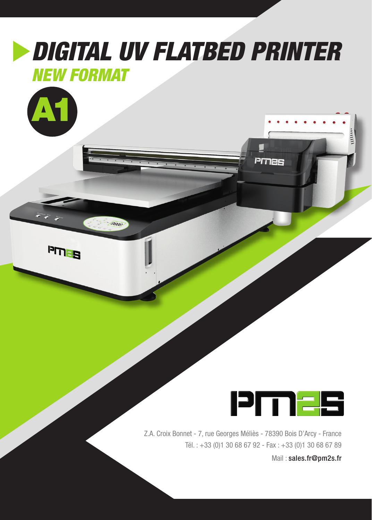## *DIGITAL UV FLATBED PRINTER*

## *NEW FORMAT*

-18889



BELUd



PMAS

Z.A. Croix Bonnet - 7, rue Georges Méliès - 78390 Bois D'Arcy - France Tél. : +33 (0)1 30 68 67 92 - Fax : +33 (0)1 30 68 67 89

Mail : sales.fr@pm2s.fr

 $\frac{1}{2}$